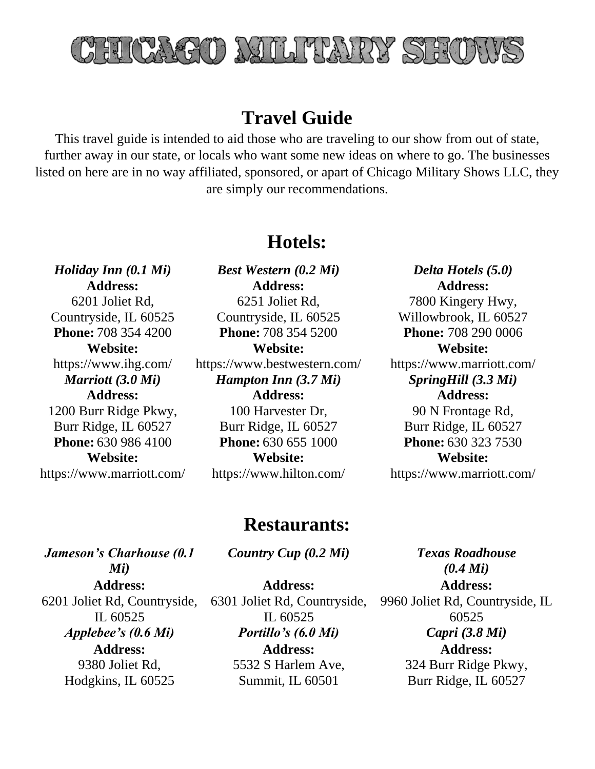

# **Travel Guide**

This travel guide is intended to aid those who are traveling to our show from out of state, further away in our state, or locals who want some new ideas on where to go. The businesses listed on here are in no way affiliated, sponsored, or apart of Chicago Military Shows LLC, they are simply our recommendations.

### **Hotels:**

**Address:** 6201 Joliet Rd, Countryside, IL 60525 **Website:** https://www.ihg.com/ **Address:**

1200 Burr Ridge Pkwy, Burr Ridge, IL 60527 **Website:** https://www.marriott.com/

*Holiday Inn (0.1 Mi) Best Western (0.2 Mi) Delta Hotels (5.0)* **Address:** 6251 Joliet Rd, Countryside, IL 60525 **Phone:** 708 354 4200 **Phone:** 708 354 5200 **Phone:** 708 290 0006 **Website:** https://www.bestwestern.com/ *Marriott (3.0 Mi) Hampton Inn (3.7 Mi) SpringHill (3.3 Mi)* **Address:** 100 Harvester Dr, Burr Ridge, IL 60527 **Phone:** 630 986 4100 **Phone:** 630 655 1000 **Phone:** 630 323 7530 **Website:** https://www.hilton.com/

**Address:** 7800 Kingery Hwy, Willowbrook, IL 60527 **Website:** https://www.marriott.com/ **Address:** 90 N Frontage Rd, Burr Ridge, IL 60527 **Website:** https://www.marriott.com/

#### **Restaurants:**

*Jameson's Charhouse (0.1 Mi)* **Address:** 6201 Joliet Rd, Countryside, IL 60525 **Address:** 9380 Joliet Rd, Hodgkins, IL 60525

*Country Cup (0.2 Mi) Texas Roadhouse* 

**Address:** 6301 Joliet Rd, Countryside, IL 60525 *Applebee's (0.6 Mi) Portillo's (6.0 Mi) Capri (3.8 Mi)* **Address:** 5532 S Harlem Ave, Summit, IL 60501

*(0.4 Mi)* **Address:** 9960 Joliet Rd, Countryside, IL 60525 **Address:** 324 Burr Ridge Pkwy, Burr Ridge, IL 60527